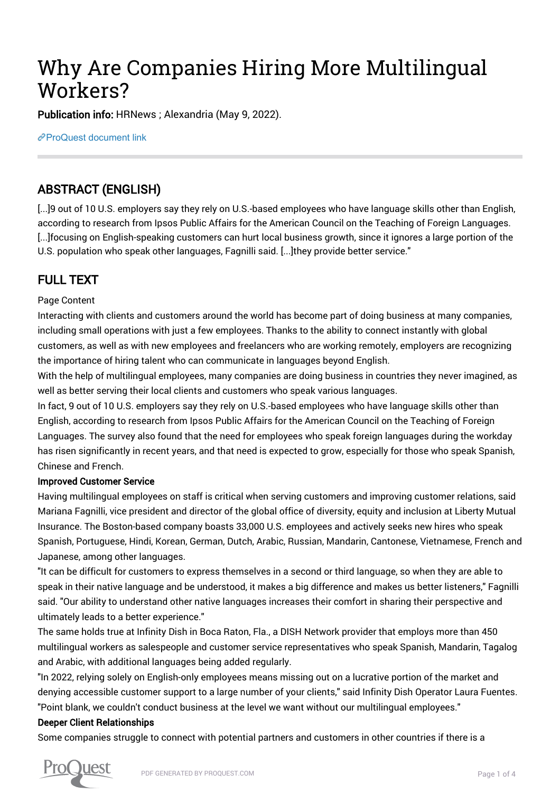# Why Are Companies Hiring More Multilingual Workers?

Publication info: HRNews ; Alexandria (May 9, 2022).

[ProQuest document link](https://www.proquest.com/trade-journals/why-are-companies-hiring-more-multilingual/docview/2661513422/se-2?accountid=44910)

## ABSTRACT (ENGLISH)

[...]9 out of 10 U.S. employers say they rely on U.S.-based employees who have language skills other than English, according to research from Ipsos Public Affairs for the American Council on the Teaching of Foreign Languages. [...]focusing on English-speaking customers can hurt local business growth, since it ignores a large portion of the U.S. population who speak other languages, Fagnilli said. [...]they provide better service."

## FULL TEXT

#### Page Content

Interacting with clients and customers around the world has become part of doing business at many companies, including small operations with just a few employees. Thanks to the ability to connect instantly with global customers, as well as with new employees and freelancers who are working remotely, employers are recognizing the importance of hiring talent who can communicate in languages beyond English.

With the help of multilingual employees, many companies are doing business in countries they never imagined, as well as better serving their local clients and customers who speak various languages.

In fact, 9 out of 10 U.S. employers say they rely on U.S.-based employees who have language skills other than English, according to research from Ipsos Public Affairs for the American Council on the Teaching of Foreign Languages. The survey also found that the need for employees who speak foreign languages during the workday has risen significantly in recent years, and that need is expected to grow, especially for those who speak Spanish, Chinese and French.

#### Improved Customer Service

Having multilingual employees on staff is critical when serving customers and improving customer relations, said Mariana Fagnilli, vice president and director of the global office of diversity, equity and inclusion at Liberty Mutual Insurance. The Boston-based company boasts 33,000 U.S. employees and actively seeks new hires who speak Spanish, Portuguese, Hindi, Korean, German, Dutch, Arabic, Russian, Mandarin, Cantonese, Vietnamese, French and Japanese, among other languages.

"It can be difficult for customers to express themselves in a second or third language, so when they are able to speak in their native language and be understood, it makes a big difference and makes us better listeners," Fagnilli said. "Our ability to understand other native languages increases their comfort in sharing their perspective and ultimately leads to a better experience."

The same holds true at Infinity Dish in Boca Raton, Fla., a DISH Network provider that employs more than 450 multilingual workers as salespeople and customer service representatives who speak Spanish, Mandarin, Tagalog and Arabic, with additional languages being added regularly.

"In 2022, relying solely on English-only employees means missing out on a lucrative portion of the market and denying accessible customer support to a large number of your clients," said Infinity Dish Operator Laura Fuentes. "Point blank, we couldn't conduct business at the level we want without our multilingual employees."

#### Deeper Client Relationships

Some companies struggle to connect with potential partners and customers in other countries if there is a

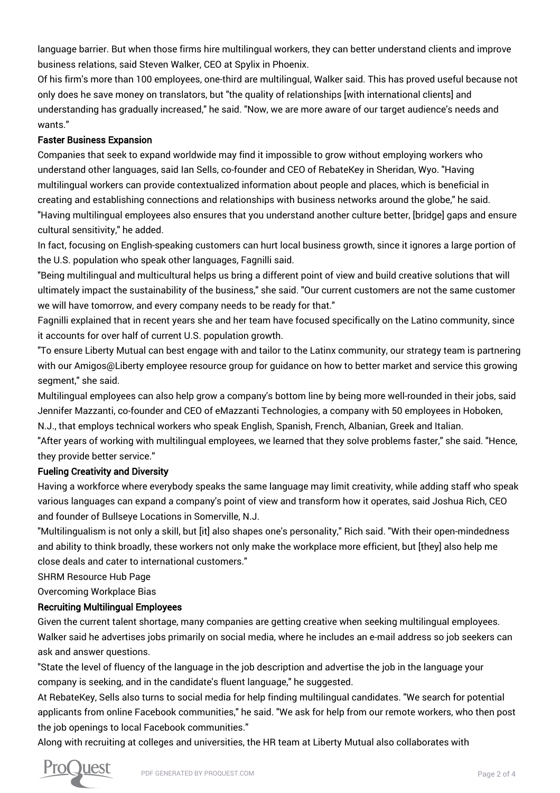language barrier. But when those firms hire multilingual workers, they can better understand clients and improve business relations, said Steven Walker, CEO at Spylix in Phoenix.

Of his firm's more than 100 employees, one-third are multilingual, Walker said. This has proved useful because not only does he save money on translators, but "the quality of relationships [with international clients] and understanding has gradually increased," he said. "Now, we are more aware of our target audience's needs and wants."

#### Faster Business Expansion

Companies that seek to expand worldwide may find it impossible to grow without employing workers who understand other languages, said Ian Sells, co-founder and CEO of RebateKey in Sheridan, Wyo. "Having multilingual workers can provide contextualized information about people and places, which is beneficial in creating and establishing connections and relationships with business networks around the globe," he said. "Having multilingual employees also ensures that you understand another culture better, [bridge] gaps and ensure cultural sensitivity," he added.

In fact, focusing on English-speaking customers can hurt local business growth, since it ignores a large portion of the U.S. population who speak other languages, Fagnilli said.

"Being multilingual and multicultural helps us bring a different point of view and build creative solutions that will ultimately impact the sustainability of the business," she said. "Our current customers are not the same customer we will have tomorrow, and every company needs to be ready for that."

Fagnilli explained that in recent years she and her team have focused specifically on the Latino community, since it accounts for over half of current U.S. population growth.

"To ensure Liberty Mutual can best engage with and tailor to the Latinx community, our strategy team is partnering with our Amigos@Liberty employee resource group for guidance on how to better market and service this growing segment," she said.

Multilingual employees can also help grow a company's bottom line by being more well-rounded in their jobs, said Jennifer Mazzanti, co-founder and CEO of eMazzanti Technologies, a company with 50 employees in Hoboken, N.J., that employs technical workers who speak English, Spanish, French, Albanian, Greek and Italian.

"After years of working with multilingual employees, we learned that they solve problems faster," she said. "Hence, they provide better service."

#### Fueling Creativity and Diversity

Having a workforce where everybody speaks the same language may limit creativity, while adding staff who speak various languages can expand a company's point of view and transform how it operates, said Joshua Rich, CEO and founder of Bullseye Locations in Somerville, N.J.

"Multilingualism is not only a skill, but [it] also shapes one's personality," Rich said. "With their open-mindedness and ability to think broadly, these workers not only make the workplace more efficient, but [they] also help me close deals and cater to international customers."

SHRM Resource Hub Page

Overcoming Workplace Bias

#### Recruiting Multilingual Employees

Given the current talent shortage, many companies are getting creative when seeking multilingual employees. Walker said he advertises jobs primarily on social media, where he includes an e-mail address so job seekers can ask and answer questions.

"State the level of fluency of the language in the job description and advertise the job in the language your company is seeking, and in the candidate's fluent language," he suggested.

At RebateKey, Sells also turns to social media for help finding multilingual candidates. "We search for potential applicants from online Facebook communities," he said. "We ask for help from our remote workers, who then post the job openings to local Facebook communities."

Along with recruiting at colleges and universities, the HR team at Liberty Mutual also collaborates with

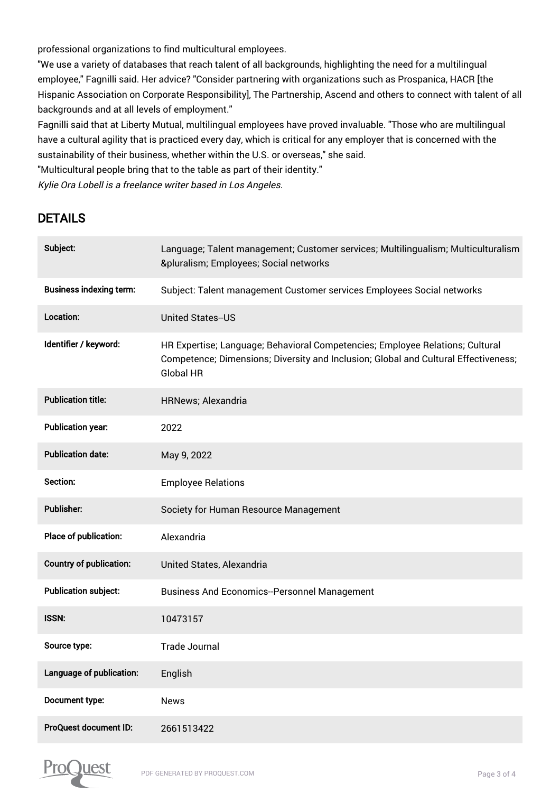professional organizations to find multicultural employees.

"We use a variety of databases that reach talent of all backgrounds, highlighting the need for a multilingual employee," Fagnilli said. Her advice? "Consider partnering with organizations such as Prospanica, HACR [the Hispanic Association on Corporate Responsibility], The Partnership, Ascend and others to connect with talent of all backgrounds and at all levels of employment."

Fagnilli said that at Liberty Mutual, multilingual employees have proved invaluable. "Those who are multilingual have a cultural agility that is practiced every day, which is critical for any employer that is concerned with the sustainability of their business, whether within the U.S. or overseas," she said.

"Multicultural people bring that to the table as part of their identity."

Kylie Ora Lobell is a freelance writer based in Los Angeles.

### DETAILS

| Subject:                       | Language; Talent management; Customer services; Multilingualism; Multiculturalism<br>&pluralism Employees; Social networks                                                               |
|--------------------------------|------------------------------------------------------------------------------------------------------------------------------------------------------------------------------------------|
| <b>Business indexing term:</b> | Subject: Talent management Customer services Employees Social networks                                                                                                                   |
| Location:                      | <b>United States--US</b>                                                                                                                                                                 |
| Identifier / keyword:          | HR Expertise; Language; Behavioral Competencies; Employee Relations; Cultural<br>Competence; Dimensions; Diversity and Inclusion; Global and Cultural Effectiveness;<br><b>Global HR</b> |
| <b>Publication title:</b>      | <b>HRNews; Alexandria</b>                                                                                                                                                                |
| <b>Publication year:</b>       | 2022                                                                                                                                                                                     |
| <b>Publication date:</b>       | May 9, 2022                                                                                                                                                                              |
| Section:                       | <b>Employee Relations</b>                                                                                                                                                                |
| <b>Publisher:</b>              | Society for Human Resource Management                                                                                                                                                    |
| Place of publication:          | Alexandria                                                                                                                                                                               |
| <b>Country of publication:</b> | United States, Alexandria                                                                                                                                                                |
| <b>Publication subject:</b>    | <b>Business And Economics--Personnel Management</b>                                                                                                                                      |
| <b>ISSN:</b>                   | 10473157                                                                                                                                                                                 |
| Source type:                   | <b>Trade Journal</b>                                                                                                                                                                     |
| Language of publication:       | English                                                                                                                                                                                  |
| Document type:                 | <b>News</b>                                                                                                                                                                              |
| <b>ProQuest document ID:</b>   | 2661513422                                                                                                                                                                               |